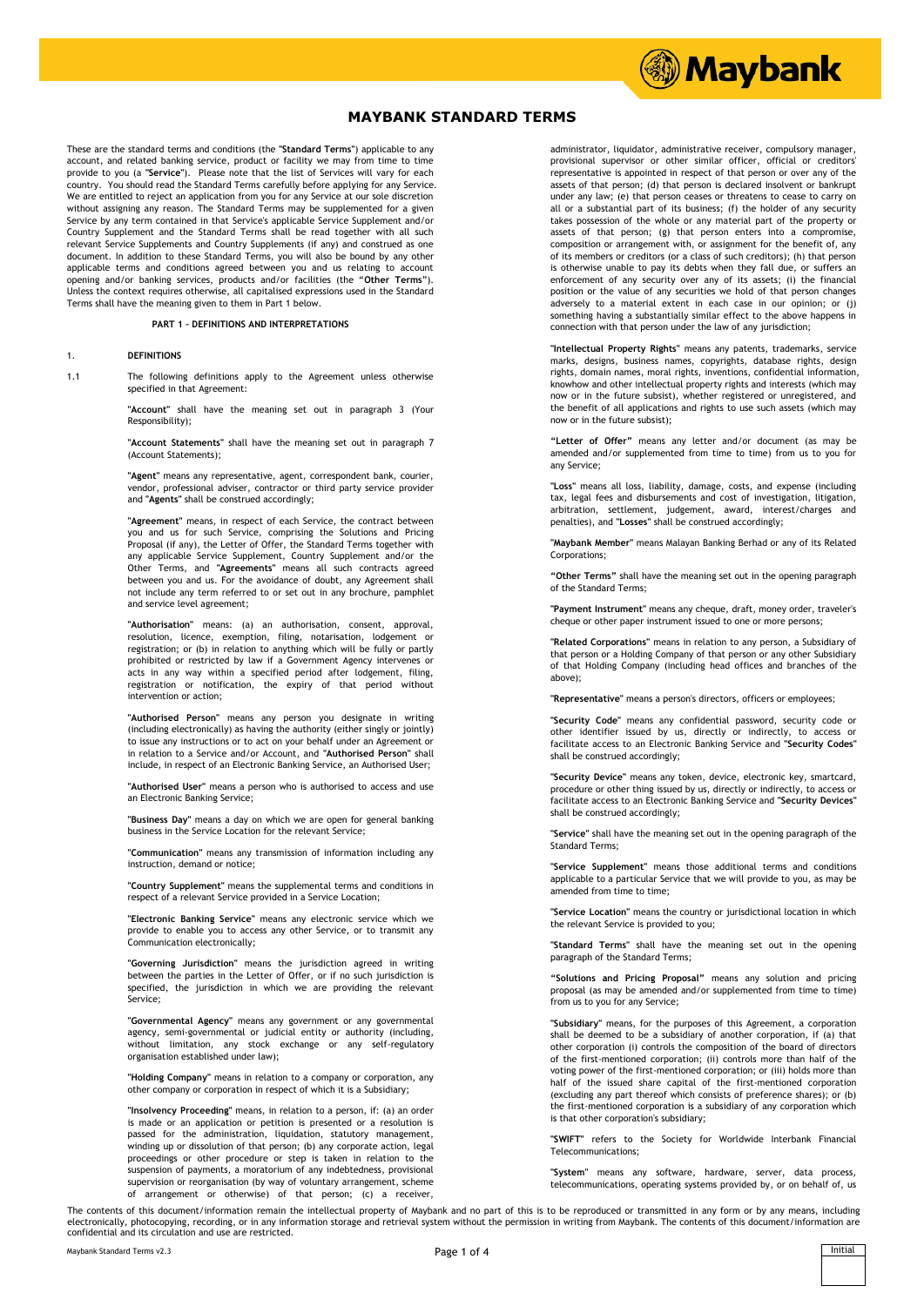

These are the standard terms and conditions (the **"Standard Terms"**) applicable to any account, and related banking service, product or facility we may from time to time provide to you (a **"Service"**). Please note that the list of Services will vary for each country. You should read the Standard Terms carefully before applying for any Service. We are entitled to reject an application from you for any Service at our sole discretion without assigning any reason. The Standard Terms may be supplemented for a given Service by any term contained in that Service's applicable Service Supplement and/or Country Supplement and the Standard Terms shall be read together with all such relevant Service Supplements and Country Supplements (if any) and construed as one document. In addition to these Standard Terms, you will also be bound by any other applicable terms and conditions agreed between you and us relating to account opening and/or banking services, products and/or facilities (the "**Other Terms**"). Unless the context requires otherwise, all capitalised expressions used in the Standard Terms shall have the meaning given to them in Part 1 below.

#### **PART 1 – DEFINITIONS AND INTERPRETATIONS**

#### 1. **DEFINITIONS**

1.1 The following definitions apply to the Agreement unless otherwise specified in that Agreement:

> **"Account"** shall have the meaning set out in paragraph 3 (Your Responsibility);

> **"Account Statements"** shall have the meaning set out in paragraph 7 (Account Statements);

> **"Agent"** means any representative, agent, correspondent bank, courier, vendor, professional adviser, contractor or third party service provider and **"Agents"** shall be construed accordingly;

> **"Agreement"** means, in respect of each Service, the contract between you and us for such Service, comprising the Solutions and Pricing Proposal (if any), the Letter of Offer, the Standard Terms together with any applicable Service Supplement, Country Supplement and/or the Other Terms, and **"Agreements"** means all such contracts agreed between you and us. For the avoidance of doubt, any Agreement shall not include any term referred to or set out in any brochure, pamphlet and service level agreement;

> **"Authorisation"** means: (a) an authorisation, consent, approval, resolution, licence, exemption, filing, notarisation, lodgement or registration; or (b) in relation to anything which will be fully or partly prohibited or restricted by law if a Government Agency intervenes or acts in any way within a specified period after lodgement, filing, registration or notification, the expiry of that period without intervention or action;

> **"Authorised Person"** means any person you designate in writing (including electronically) as having the authority (either singly or jointly) to issue any instructions or to act on your behalf under an Agreement or in relation to a Service and/or Account, and **"Authorised Person"** shall include, in respect of an Electronic Banking Service, an Authorised User;

> **"Authorised User"** means a person who is authorised to access and use an Electronic Banking Service;

> **"Business Day"** means a day on which we are open for general banking business in the Service Location for the relevant Service;

> **"Communication"** means any transmission of information including any instruction, demand or notice;

> **"Country Supplement"** means the supplemental terms and conditions in respect of a relevant Service provided in a Service Location;

> **"Electronic Banking Service"** means any electronic service which we provide to enable you to access any other Service, or to transmit any Communication electronically;

> **"Governing Jurisdiction"** means the jurisdiction agreed in writing between the parties in the Letter of Offer, or if no such jurisdiction is specified, the jurisdiction in which we are providing the relevant Service;

> **"Governmental Agency"** means any government or any governmental agency, semi-governmental or judicial entity or authority (including, limitation, any stock exchange or any self-regulatory organisation established under law);

> **"Holding Company"** means in relation to a company or corporation, any other company or corporation in respect of which it is a Subsidiary;

> **"Insolvency Proceeding"** means, in relation to a person, if: (a) an order is made or an application or petition is presented or a resolution is passed for the administration, liquidation, statutory management, winding up or dissolution of that person; (b) any corporate action, legal proceedings or other procedure or step is taken in relation to the suspension of payments, a moratorium of any indebtedness, provisional supervision or reorganisation (by way of voluntary arrangement, scheme of arrangement or otherwise) of that person; (c) a receiver,

administrator, liquidator, administrative receiver, compulsory manager, provisional supervisor or other similar officer, official or creditors' representative is appointed in respect of that person or over any of the assets of that person; (d) that person is declared insolvent or bankrupt under any law; (e) that person ceases or threatens to cease to carry on all or a substantial part of its business; (f) the holder of any security takes possession of the whole or any material part of the property or assets of that person; (g) that person enters into a compromise, composition or arrangement with, or assignment for the benefit of, any of its members or creditors (or a class of such creditors); (h) that person is otherwise unable to pay its debts when they fall due, or suffers an enforcement of any security over any of its assets; (i) the financial position or the value of any securities we hold of that person changes adversely to a material extent in each case in our opinion; or (j) something having a substantially similar effect to the above happens in connection with that person under the law of any jurisdiction;

**...** Maybank

**"Intellectual Property Rights"** means any patents, trademarks, service marks, designs, business names, copyrights, database rights, design rights, domain names, moral rights, inventions, confidential information, knowhow and other intellectual property rights and interests (which may now or in the future subsist), whether registered or unregistered, and the benefit of all applications and rights to use such assets (which may now or in the future subsist);

**"Letter of Offer"** means any letter and/or document (as may be amended and/or supplemented from time to time) from us to you for any Service;

**"Loss"** means all loss, liability, damage, costs, and expense (including tax, legal fees and disbursements and cost of investigation, litigation, arbitration, settlement, judgement, award, interest/charges and penalties), and **"Losses"** shall be construed accordingly;

**"Maybank Member"** means Malayan Banking Berhad or any of its Related Corporations;

**"Other Terms"** shall have the meaning set out in the opening paragraph of the Standard Terms;

**"Payment Instrument"** means any cheque, draft, money order, traveler's cheque or other paper instrument issued to one or more persons;

**"Related Corporations"** means in relation to any person, a Subsidiary of that person or a Holding Company of that person or any other Subsidiary of that Holding Company (including head offices and branches of the above);

**"Representative"** means a person's directors, officers or employees;

**"Security Code"** means any confidential password, security code or other identifier issued by us, directly or indirectly, to access or facilitate access to an Electronic Banking Service and **"Security Codes"** shall be construed accordingly;

**"Security Device"** means any token, device, electronic key, smartcard, procedure or other thing issued by us, directly or indirectly, to access or facilitate access to an Electronic Banking Service and **"Security Devices"** shall be construed accordingly;

**"Service"** shall have the meaning set out in the opening paragraph of the Standard Terms;

**"Service Supplement"** means those additional terms and conditions applicable to a particular Service that we will provide to you, as may be amended from time to time;

**"Service Location"** means the country or jurisdictional location in which the relevant Service is provided to you;

**"Standard Terms"** shall have the meaning set out in the opening paragraph of the Standard Terms;

**"Solutions and Pricing Proposal"** means any solution and pricing proposal (as may be amended and/or supplemented from time to time) from us to you for any Service;

**"Subsidiary"** means, for the purposes of this Agreement, a corporation shall be deemed to be a subsidiary of another corporation, if (a) that other corporation (i) controls the composition of the board of directors of the first-mentioned corporation; (ii) controls more than half of the voting power of the first-mentioned corporation; or (iii) holds more than half of the issued share capital of the first-mentioned corporation (excluding any part thereof which consists of preference shares); or (b) the first-mentioned corporation is a subsidiary of any corporation which is that other corporation's subsidiary;

**"SWIFT"** refers to the Society for Worldwide Interbank Financial Telecommunications;

**"System"** means any software, hardware, server, data process, telecommunications, operating systems provided by, or on behalf of, us

The contents of this document/information remain the intellectual property of Maybank and no part of this is to be reproduced or transmitted in any form or by any means, including electronically, photocopying, recording, or in any information storage and retrieval system without the permission in writing from Maybank. The contents of this document/information are electronically, photocopying, record confidential and its circulation and use are restricted.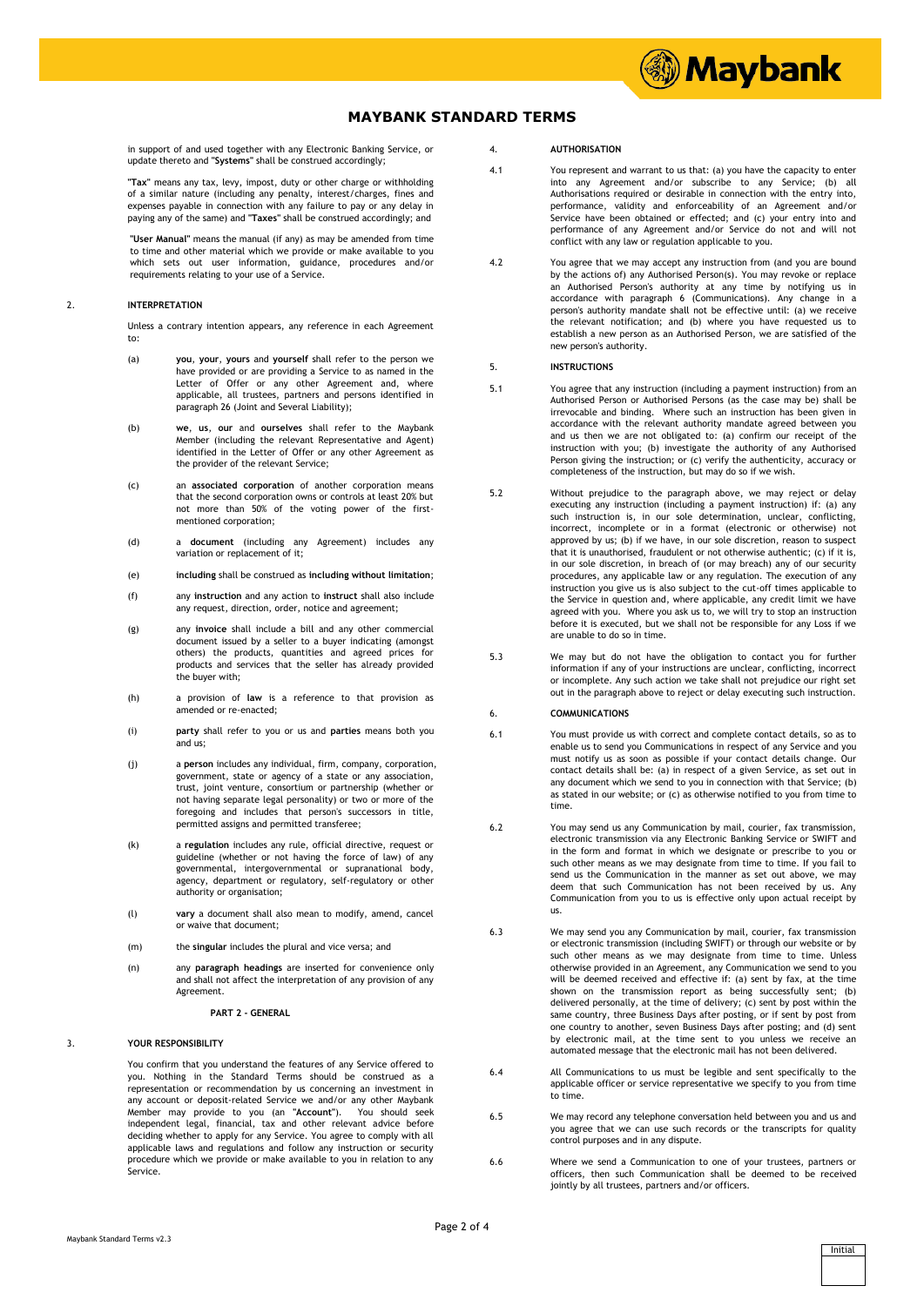

# **MAYBANK STANDARD TERMS**

in support of and used together with any Electronic Banking Service, or update thereto and **"Systems"** shall be construed accordingly;

**"Tax"** means any tax, levy, impost, duty or other charge or withholding of a similar nature (including any penalty, interest/charges, fines and expenses payable in connection with any failure to pay or any delay in paying any of the same) and **"Taxes"** shall be construed accordingly; and

**"User Manual"** means the manual (if any) as may be amended from time to time and other material which we provide or make available to you which sets out user information, guidance, procedures and/or requirements relating to your use of a Service.

#### 2. **INTERPRETATION**

Unless a contrary intention appears, any reference in each Agreement to:

- (a) **you**, **your**, **yours** and **yourself** shall refer to the person we have provided or are providing a Service to as named in the Letter of Offer or any other Agreement and, where applicable, all trustees, partners and persons identified in paragraph 26 (Joint and Several Liability);
- (b) **we**, **us**, **our** and **ourselves** shall refer to the Maybank Member (including the relevant Representative and Agent) identified in the Letter of Offer or any other Agreement as the provider of the relevant Service;
- (c) an **associated corporation** of another corporation means that the second corporation owns or controls at least 20% but not more than 50% of the voting power of the firstmentioned corporation;
- (d) a **document** (including any Agreement) includes any variation or replacement of it;
- (e) **including** shall be construed as **including without limitation**;
- (f) any **instruction** and any action to **instruct** shall also include any request, direction, order, notice and agreement;
- (g) any **invoice** shall include a bill and any other commercial document issued by a seller to a buyer indicating (amongst others) the products, quantities and agreed prices for products and services that the seller has already provided the buyer with;
- (h) a provision of **law** is a reference to that provision as amended or re-enacted;
- (i) **party** shall refer to you or us and **parties** means both you and us;
- (j) a **person** includes any individual, firm, company, corporation, government, state or agency of a state or any association, trust, joint venture, consortium or partnership (whether or not having separate legal personality) or two or more of the foregoing and includes that person's successors in title, permitted assigns and permitted transferee;
- (k) a **regulation** includes any rule, official directive, request or guideline (whether or not having the force of law) of any governmental, intergovernmental or supranational body, agency, department or regulatory, self-regulatory or other authority or organisation;
- (l) **vary** a document shall also mean to modify, amend, cancel or waive that document;
- (m) the **singular** includes the plural and vice versa; and
- (n) any **paragraph headings** are inserted for convenience only and shall not affect the interpretation of any provision of any Agreement.
	- **PART 2 GENERAL**

### 3. **YOUR RESPONSIBILITY**

You confirm that you understand the features of any Service offered to you. Nothing in the Standard Terms should be construed as a representation or recommendation by us concerning an investment in any account or deposit-related Service we and/or any other Maybank<br>Member may provide to you (an "Account"). You should seek<br>independent legal, financial, tax and other relevant advice before deciding whether to apply for any Service. You agree to comply with all applicable laws and regulations and follow any instruction or security procedure which we provide or make available to you in relation to any .<br>Service

### 4. **AUTHORISATION**

- 4.1 You represent and warrant to us that: (a) you have the capacity to enter into any Agreement and/or subscribe to any Service; (b) all Authorisations required or desirable in connection with the entry into, performance, validity and enforceability of an Agreement and/or Service have been obtained or effected; and (c) your entry into and performance of any Agreement and/or Service do not and will not conflict with any law or regulation applicable to you.
- 4.2 You agree that we may accept any instruction from (and you are bound by the actions of) any Authorised Person(s). You may revoke or replace an Authorised Person's authority at any time by notifying us in accordance with paragraph 6 (Communications). Any change in a person's authority mandate shall not be effective until: (a) we receive the relevant notification; and (b) where you have requested us to establish a new person as an Authorised Person, we are satisfied of the new person's authority.

## 5. **INSTRUCTIONS**

- 5.1 You agree that any instruction (including a payment instruction) from an Authorised Person or Authorised Persons (as the case may be) shall be irrevocable and binding. Where such an instruction has been given in accordance with the relevant authority mandate agreed between you and us then we are not obligated to: (a) confirm our receipt of the instruction with you; (b) investigate the authority of any Authorised Person giving the instruction; or (c) verify the authenticity, accuracy or completeness of the instruction, but may do so if we wish.
- 5.2 Without prejudice to the paragraph above, we may reject or delay executing any instruction (including a payment instruction) if: (a) any such instruction is, in our sole determination, unclear, conflicting, incorrect, incomplete or in a format (electronic or otherwise) not approved by us; (b) if we have, in our sole discretion, reason to suspect that it is unauthorised, fraudulent or not otherwise authentic; (c) if it is, in our sole discretion, in breach of (or may breach) any of our security procedures, any applicable law or any regulation. The execution of any instruction you give us is also subject to the cut-off times applicable to the Service in question and, where applicable, any credit limit we have agreed with you. Where you ask us to, we will try to stop an instruction before it is executed, but we shall not be responsible for any Loss if we are unable to do so in time.
- 5.3 We may but do not have the obligation to contact you for further information if any of your instructions are unclear, conflicting, incorrect or incomplete. Any such action we take shall not prejudice our right set out in the paragraph above to reject or delay executing such instruction.

### 6. **COMMUNICATIONS**

- 6.1 You must provide us with correct and complete contact details, so as to enable us to send you Communications in respect of any Service and you must notify us as soon as possible if your contact details change. Our contact details shall be: (a) in respect of a given Service, as set out in any document which we send to you in connection with that Service; (b) as stated in our website; or (c) as otherwise notified to you from time to time.
- 6.2 You may send us any Communication by mail, courier, fax transmission, electronic transmission via any Electronic Banking Service or SWIFT and in the form and format in which we designate or prescribe to you or such other means as we may designate from time to time. If you fail to send us the Communication in the manner as set out above, we may deem that such Communication has not been received by us. Any Communication from you to us is effective only upon actual receipt by us.
- 6.3 We may send you any Communication by mail, courier, fax transmission or electronic transmission (including SWIFT) or through our website or by such other means as we may designate from time to time. Unless otherwise provided in an Agreement, any Communication we send to you will be deemed received and effective if: (a) sent by fax, at the time shown on the transmission report as being successfully sent; (b) delivered personally, at the time of delivery; (c) sent by post within the same country, three Business Days after posting, or if sent by post from one country to another, seven Business Days after posting; and (d) sent by electronic mail, at the time sent to you unless we receive an automated message that the electronic mail has not been delivered.
- 6.4 All Communications to us must be legible and sent specifically to the applicable officer or service representative we specify to you from time to time.
- 6.5 We may record any telephone conversation held between you and us and you agree that we can use such records or the transcripts for quality control purposes and in any dispute.
- 6.6 Where we send a Communication to one of your trustees, partners or officers, then such Communication shall be deemed to be received jointly by all trustees, partners and/or officers.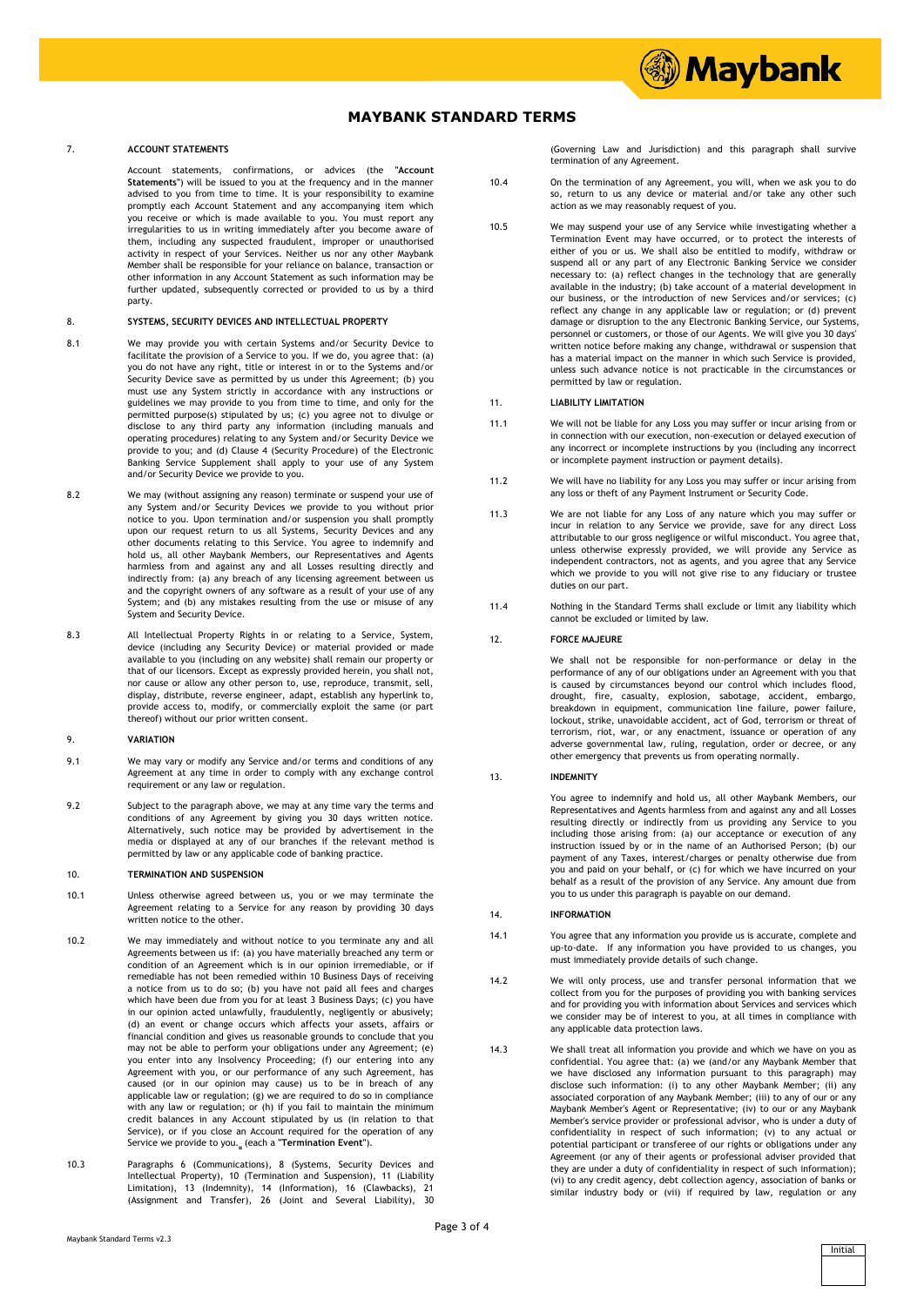# **MAYBANK STANDARD TERMS**

# 7. **ACCOUNT STATEMENTS**

Account statements, confirmations, or advices (the **"Account Statements"**) will be issued to you at the frequency and in the manner advised to you from time to time. It is your responsibility to examine promptly each Account Statement and any accompanying item which you receive or which is made available to you. You must report any irregularities to us in writing immediately after you become aware of them, including any suspected fraudulent, improper or unauthorised activity in respect of your Services. Neither us nor any other Maybank Member shall be responsible for your reliance on balance, transaction or other information in any Account Statement as such information may be further updated, subsequently corrected or provided to us by a third party.

#### 8. **SYSTEMS, SECURITY DEVICES AND INTELLECTUAL PROPERTY**

- 8.1 We may provide you with certain Systems and/or Security Device to facilitate the provision of a Service to you. If we do, you agree that: (a) you do not have any right, title or interest in or to the Systems and/or Security Device save as permitted by us under this Agreement; (b) you must use any System strictly in accordance with any instructions guidelines we may provide to you from time to time, and only for the permitted purpose(s) stipulated by us; (c) you agree not to divulge or disclose to any third party any information (including manuals and operating procedures) relating to any System and/or Security Device we provide to you; and (d) Clause 4 (Security Procedure) of the Electronic Banking Service Supplement shall apply to your use of any System and/or Security Device we provide to you.
- 8.2 We may (without assigning any reason) terminate or suspend your use of any System and/or Security Devices we provide to you without prior notice to you. Upon termination and/or suspension you shall promptly upon our request return to us all Systems, Security Devices and any other documents relating to this Service. You agree to indemnify and hold us, all other Maybank Members, our Representatives and Agents harmless from and against any and all Losses resulting directly and indirectly from: (a) any breach of any licensing agreement between us and the copyright owners of any software as a result of your use of any System; and (b) any mistakes resulting from the use or misuse of any System and Security Device.
- 8.3 All Intellectual Property Rights in or relating to a Service, System, device (including any Security Device) or material provided or made available to you (including on any website) shall remain our property or that of our licensors. Except as expressly provided herein, you shall not, nor cause or allow any other person to, use, reproduce, transmit, sell, display, distribute, reverse engineer, adapt, establish any hyperlink to, provide access to, modify, or commercially exploit the same (or part thereof) without our prior written consent.

### 9. **VARIATION**

- 9.1 We may vary or modify any Service and/or terms and conditions of any Agreement at any time in order to comply with any exchange control requirement or any law or regulation.
- 9.2 Subject to the paragraph above, we may at any time vary the terms and conditions of any Agreement by giving you 30 days written notice. Alternatively, such notice may be provided by advertisement in the media or displayed at any of our branches if the relevant method is permitted by law or any applicable code of banking practice.

## 10. **TERMINATION AND SUSPENSION**

- 10.1 Unless otherwise agreed between us, you or we may terminate the Agreement relating to a Service for any reason by providing 30 days written notice to the other.
- 10.2 We may immediately and without notice to you terminate any and all Agreements between us if: (a) you have materially breached any term or condition of an Agreement which is in our opinion irremediable, or if remediable has not been remedied within 10 Business Days of receiving a notice from us to do so; (b) you have not paid all fees and charges which have been due from you for at least 3 Business Days; (c) you have in our opinion acted unlawfully, fraudulently, negligently or abusively; (d) an event or change occurs which affects your assets, affairs or financial condition and gives us reasonable grounds to conclude that you may not be able to perform your obligations under any Agreement; (e) you enter into any Insolvency Proceeding; (f) our entering into any Agreement with you, or our performance of any such Agreement, has caused (or in our opinion may cause) us to be in breach of any applicable law or regulation; (g) we are required to do so in compliance with any law or regulation; or (h) if you fail to maintain the minimum credit balances in any Account stipulated by us (in relation to that Service), or if you close an Account required for the operation of any Service we provide to you.<sub></sub> (each a "Termination Event").
- 10.3 Paragraphs 6 (Communications), 8 (Systems, Security Devices and Intellectual Property), 10 (Termination and Suspension), 11 (Liability Limitation), 13 (Indemnity), 14 (Information), 16 (Clawbacks), 21 (Assignment and Transfer), 26 (Joint and Several Liability), 30

(Governing Law and Jurisdiction) and this paragraph shall survive termination of any Agreement.

*Maybank* 

- 10.4 On the termination of any Agreement, you will, when we ask you to do so, return to us any device or material and/or take any other such action as we may reasonably request of you.
- 10.5 We may suspend your use of any Service while investigating whether a Termination Event may have occurred, or to protect the interests of either of you or us. We shall also be entitled to modify, withdraw or suspend all or any part of any Electronic Banking Service we consider necessary to: (a) reflect changes in the technology that are generally available in the industry; (b) take account of a material development in our business, or the introduction of new Services and/or services; (c) reflect any change in any applicable law or regulation; or (d) prevent damage or disruption to the any Electronic Banking Service, our Systems, personnel or customers, or those of our Agents. We will give you 30 days' written notice before making any change, withdrawal or suspension that has a material impact on the manner in which such Service is provided, unless such advance notice is not practicable in the circumstances or permitted by law or regulation.

# 11. **LIABILITY LIMITATION**

- 11.1 We will not be liable for any Loss you may suffer or incur arising from or in connection with our execution, non-execution or delayed execution of any incorrect or incomplete instructions by you (including any incorrect or incomplete payment instruction or payment details).
- 11.2 We will have no liability for any Loss you may suffer or incur arising from any loss or theft of any Payment Instrument or Security Code.
- 11.3 We are not liable for any Loss of any nature which you may suffer or incur in relation to any Service we provide, save for any direct Loss attributable to our gross negligence or wilful misconduct. You agree that, unless otherwise expressly provided, we will provide any Service as independent contractors, not as agents, and you agree that any Service which we provide to you will not give rise to any fiduciary or trustee duties on our part.
- 11.4 Nothing in the Standard Terms shall exclude or limit any liability which cannot be excluded or limited by law.

### 12. **FORCE MAJEURE**

We shall not be responsible for non-performance or delay in the performance of any of our obligations under an Agreement with you that is caused by circumstances beyond our control which includes flood, drought, fire, casualty, explosion, sabotage, accident, embargo, breakdown in equipment, communication line failure, power failure, lockout, strike, unavoidable accident, act of God, terrorism or threat of terrorism, riot, war, or any enactment, issuance or operation of any adverse governmental law, ruling, regulation, order or decree, or any other emergency that prevents us from operating normally.

#### 13. **INDEMNITY**

You agree to indemnify and hold us, all other Maybank Members, our Representatives and Agents harmless from and against any and all Losses resulting directly or indirectly from us providing any Service to you including those arising from: (a) our acceptance or execution of any instruction issued by or in the name of an Authorised Person; (b) our payment of any Taxes, interest/charges or penalty otherwise due from you and paid on your behalf, or (c) for which we have incurred on your behalf as a result of the provision of any Service. Any amount due from you to us under this paragraph is payable on our demand.

## 14. **INFORMATION**

- 14.1 You agree that any information you provide us is accurate, complete and up-to-date. If any information you have provided to us changes, you must immediately provide details of such change.
- 14.2 We will only process, use and transfer personal information that we collect from you for the purposes of providing you with banking services and for providing you with information about Services and services which we consider may be of interest to you, at all times in compliance with any applicable data protection laws.
- 14.3 We shall treat all information you provide and which we have on you as confidential. You agree that: (a) we (and/or any Maybank Member that we have disclosed any information pursuant to this paragraph) may disclose such information: (i) to any other Maybank Member; (ii) any associated corporation of any Maybank Member; (iii) to any of our or any Maybank Member's Agent or Representative; (iv) to our or any Maybank Member's service provider or professional advisor, who is under a duty of confidentiality in respect of such information; (v) to any actual or potential participant or transferee of our rights or obligations under any Agreement (or any of their agents or professional adviser provided that they are under a duty of confidentiality in respect of such information); (vi) to any credit agency, debt collection agency, association of banks or similar industry body or (vii) if required by law, regulation or any